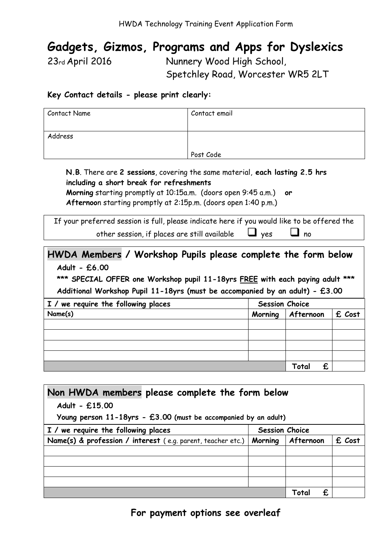## Gadgets, Gizmos, Programs and Apps for Dyslexics

23rd April 2016 Nunnery Wood High School, Spetchley Road, Worcester WR5 2LT

#### Key Contact details - please print clearly:

| Contact Name | Contact email |  |  |
|--------------|---------------|--|--|
|              |               |  |  |
| Address      |               |  |  |
|              | Post Code     |  |  |

N.B. There are 2 sessions, covering the same material, each lasting 2.5 hrs including a short break for refreshments Morning starting promptly at 10:15a.m. (doors open 9:45 a.m.) or

Afternoon starting promptly at 2:15p.m. (doors open 1:40 p.m.)

If your preferred session is full, please indicate here if you would like to be offered the other session, if places are still available  $\Box$  yes  $\Box$  no

### HWDA Members / Workshop Pupils please complete the form below Adult - £6.00

\*\*\* SPECIAL OFFER one Workshop pupil 11-18yrs FREE with each paying adult \*\*\* Additional Workshop Pupil 11-18yrs (must be accompanied by an adult) - £3.00

| I / we require the following places | <b>Session Choice</b> |            |        |
|-------------------------------------|-----------------------|------------|--------|
| Name(s)                             | Morning               | Afternoon  | £ Cost |
|                                     |                       |            |        |
|                                     |                       |            |        |
|                                     |                       |            |        |
|                                     |                       |            |        |
|                                     |                       | £<br>Total |        |

| Non HWDA members please complete the form below                       |                       |           |        |  |  |  |
|-----------------------------------------------------------------------|-----------------------|-----------|--------|--|--|--|
| Adult - £15.00                                                        |                       |           |        |  |  |  |
| Young person 11-18yrs - £3.00 (must be accompanied by an adult)       |                       |           |        |  |  |  |
| I / we require the following places                                   | <b>Session Choice</b> |           |        |  |  |  |
| Name(s) & profession / interest (e.g. parent, teacher etc.)   Morning |                       | Afternoon | £ Cost |  |  |  |
|                                                                       |                       |           |        |  |  |  |
|                                                                       |                       |           |        |  |  |  |
|                                                                       |                       |           |        |  |  |  |
|                                                                       |                       | £<br>Tota |        |  |  |  |

For payment options see overleaf